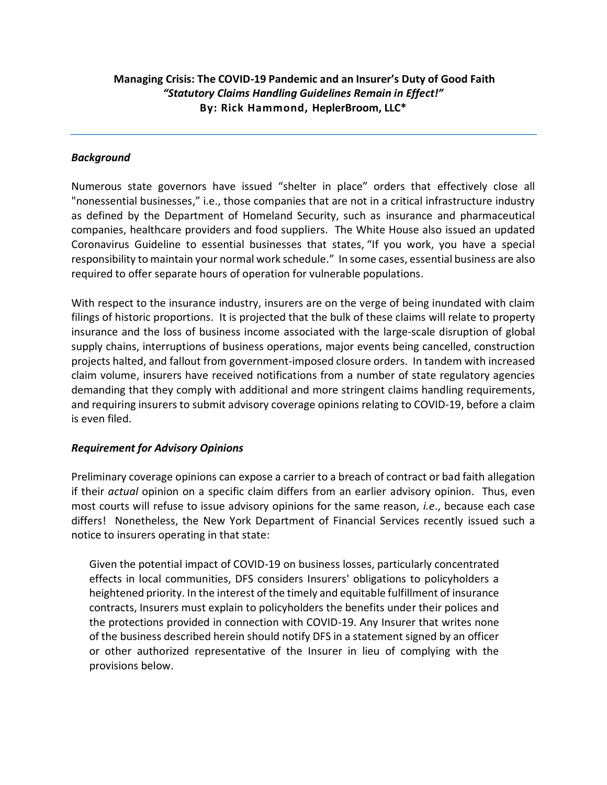# **Managing Crisis: The COVID-19 Pandemic and an Insurer's Duty of Good Faith** *"Statutory Claims Handling Guidelines Remain in Effect!"* **By: Rick Hammond, HeplerBroom, LLC\***

## *Background*

Numerous state governors have issued "shelter in place" orders that effectively close all "nonessential businesses," i.e., those companies that are not in a critical infrastructure industry as defined by the Department of Homeland Security, such as insurance and pharmaceutical companies, healthcare providers and food suppliers. The White House also issued an updated Coronavirus Guideline to essential businesses that states, "If you work, you have a special responsibility to maintain your normal work schedule." In some cases, essential business are also required to offer separate hours of operation for vulnerable populations.

With respect to the insurance industry, insurers are on the verge of being inundated with claim filings of historic proportions. It is projected that the bulk of these claims will relate to property insurance and the loss of business income associated with the large-scale disruption of global supply chains, interruptions of business operations, major events being cancelled, construction projects halted, and fallout from government-imposed closure orders. In tandem with increased claim volume, insurers have received notifications from a number of state regulatory agencies demanding that they comply with additional and more stringent claims handling requirements, and requiring insurers to submit advisory coverage opinions relating to COVID-19, before a claim is even filed.

## *Requirement for Advisory Opinions*

Preliminary coverage opinions can expose a carrier to a breach of contract or bad faith allegation if their *actual* opinion on a specific claim differs from an earlier advisory opinion. Thus, even most courts will refuse to issue advisory opinions for the same reason, *i.e*., because each case differs! Nonetheless, the New York Department of Financial Services recently issued such a notice to insurers operating in that state:

Given the potential impact of COVID-19 on business losses, particularly concentrated effects in local communities, DFS considers Insurers' obligations to policyholders a heightened priority. In the interest of the timely and equitable fulfillment of insurance contracts, Insurers must explain to policyholders the benefits under their polices and the protections provided in connection with COVID-19. Any Insurer that writes none of the business described herein should notify DFS in a statement signed by an officer or other authorized representative of the Insurer in lieu of complying with the provisions below.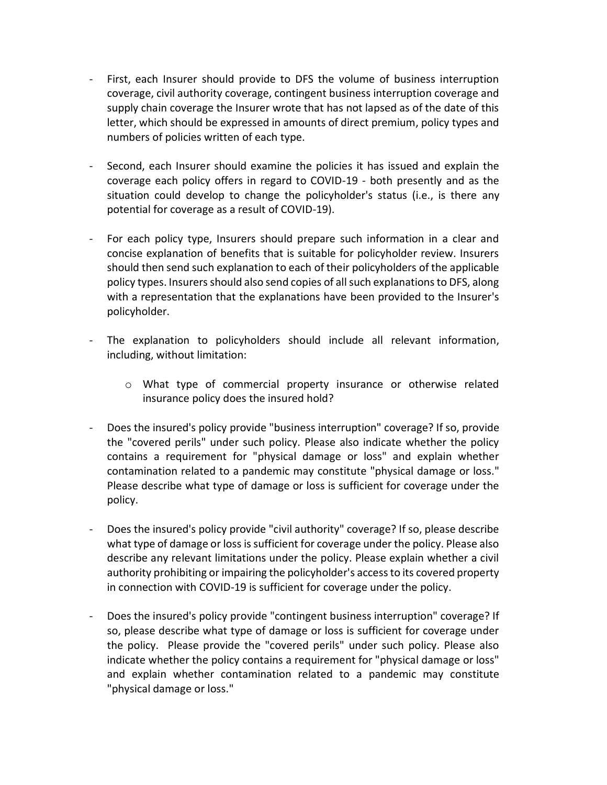- First, each Insurer should provide to DFS the volume of business interruption coverage, civil authority coverage, contingent business interruption coverage and supply chain coverage the Insurer wrote that has not lapsed as of the date of this letter, which should be expressed in amounts of direct premium, policy types and numbers of policies written of each type.
- Second, each Insurer should examine the policies it has issued and explain the coverage each policy offers in regard to COVID-19 - both presently and as the situation could develop to change the policyholder's status (i.e., is there any potential for coverage as a result of COVID-19).
- For each policy type, Insurers should prepare such information in a clear and concise explanation of benefits that is suitable for policyholder review. Insurers should then send such explanation to each of their policyholders of the applicable policy types. Insurers should also send copies of all such explanations to DFS, along with a representation that the explanations have been provided to the Insurer's policyholder.
- The explanation to policyholders should include all relevant information, including, without limitation:
	- o What type of commercial property insurance or otherwise related insurance policy does the insured hold?
- Does the insured's policy provide "business interruption" coverage? If so, provide the "covered perils" under such policy. Please also indicate whether the policy contains a requirement for "physical damage or loss" and explain whether contamination related to a pandemic may constitute "physical damage or loss." Please describe what type of damage or loss is sufficient for coverage under the policy.
- Does the insured's policy provide "civil authority" coverage? If so, please describe what type of damage or loss is sufficient for coverage under the policy. Please also describe any relevant limitations under the policy. Please explain whether a civil authority prohibiting or impairing the policyholder's access to its covered property in connection with COVID-19 is sufficient for coverage under the policy.
- Does the insured's policy provide "contingent business interruption" coverage? If so, please describe what type of damage or loss is sufficient for coverage under the policy. Please provide the "covered perils" under such policy. Please also indicate whether the policy contains a requirement for "physical damage or loss" and explain whether contamination related to a pandemic may constitute "physical damage or loss."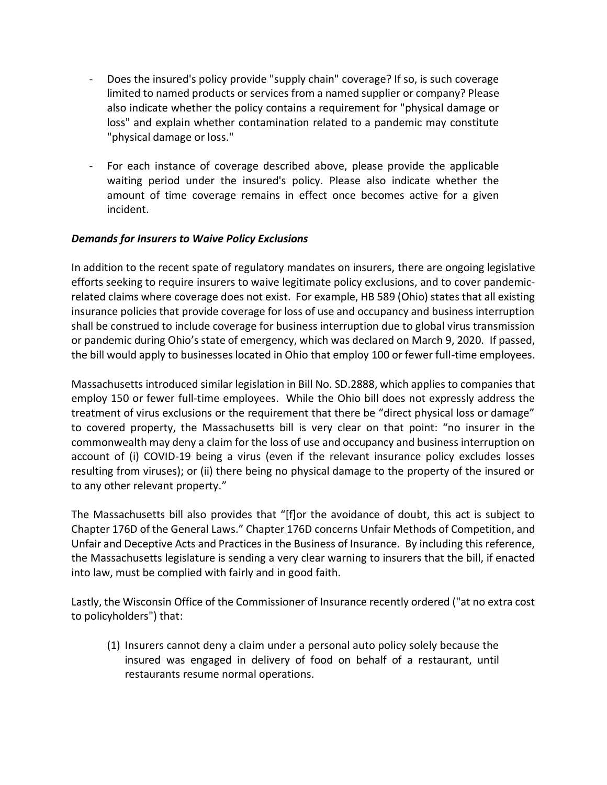- Does the insured's policy provide "supply chain" coverage? If so, is such coverage limited to named products or services from a named supplier or company? Please also indicate whether the policy contains a requirement for "physical damage or loss" and explain whether contamination related to a pandemic may constitute "physical damage or loss."
- For each instance of coverage described above, please provide the applicable waiting period under the insured's policy. Please also indicate whether the amount of time coverage remains in effect once becomes active for a given incident.

## *Demands for Insurers to Waive Policy Exclusions*

In addition to the recent spate of regulatory mandates on insurers, there are ongoing legislative efforts seeking to require insurers to waive legitimate policy exclusions, and to cover pandemicrelated claims where coverage does not exist. For example, HB 589 (Ohio) states that all existing insurance policies that provide coverage for loss of use and occupancy and business interruption shall be construed to include coverage for business interruption due to global virus transmission or pandemic during Ohio's state of emergency, which was declared on March 9, 2020. If passed, the bill would apply to businesses located in Ohio that employ 100 or fewer full-time employees.

Massachusetts introduced similar legislation in Bill No. SD.2888, which applies to companies that employ 150 or fewer full-time employees. While the Ohio bill does not expressly address the treatment of virus exclusions or the requirement that there be "direct physical loss or damage" to covered property, the Massachusetts bill is very clear on that point: "no insurer in the commonwealth may deny a claim for the loss of use and occupancy and business interruption on account of (i) COVID-19 being a virus (even if the relevant insurance policy excludes losses resulting from viruses); or (ii) there being no physical damage to the property of the insured or to any other relevant property."

The Massachusetts bill also provides that "[f]or the avoidance of doubt, this act is subject to Chapter 176D of the General Laws." Chapter 176D concerns Unfair Methods of Competition, and Unfair and Deceptive Acts and Practices in the Business of Insurance. By including this reference, the Massachusetts legislature is sending a very clear warning to insurers that the bill, if enacted into law, must be complied with fairly and in good faith.

Lastly, the Wisconsin Office of the Commissioner of Insurance recently ordered ("at no extra cost to policyholders") that:

(1) Insurers cannot deny a claim under a personal auto policy solely because the insured was engaged in delivery of food on behalf of a restaurant, until restaurants resume normal operations.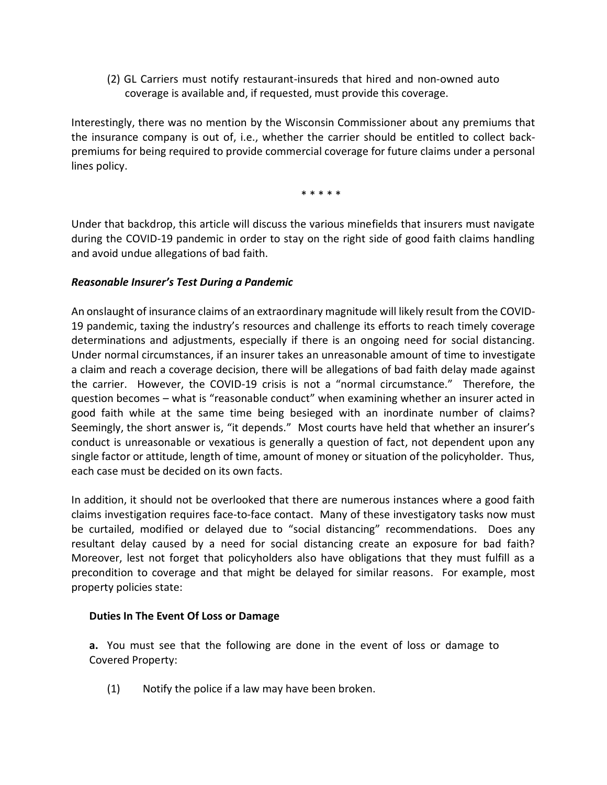(2) GL Carriers must notify restaurant-insureds that hired and non-owned auto coverage is available and, if requested, must provide this coverage.

Interestingly, there was no mention by the Wisconsin Commissioner about any premiums that the insurance company is out of, i.e., whether the carrier should be entitled to collect backpremiums for being required to provide commercial coverage for future claims under a personal lines policy.

\* \* \* \* \*

Under that backdrop, this article will discuss the various minefields that insurers must navigate during the COVID-19 pandemic in order to stay on the right side of good faith claims handling and avoid undue allegations of bad faith.

## *Reasonable Insurer's Test During a Pandemic*

An onslaught of insurance claims of an extraordinary magnitude will likely result from the COVID-19 pandemic, taxing the industry's resources and challenge its efforts to reach timely coverage determinations and adjustments, especially if there is an ongoing need for social distancing. Under normal circumstances, if an insurer takes an unreasonable amount of time to investigate a claim and reach a coverage decision, there will be allegations of bad faith delay made against the carrier. However, the COVID-19 crisis is not a "normal circumstance." Therefore, the question becomes – what is "reasonable conduct" when examining whether an insurer acted in good faith while at the same time being besieged with an inordinate number of claims? Seemingly, the short answer is, "it depends." Most courts have held that whether an insurer's conduct is unreasonable or vexatious is generally a question of fact, not dependent upon any single factor or attitude, length of time, amount of money or situation of the policyholder. Thus, each case must be decided on its own facts.

In addition, it should not be overlooked that there are numerous instances where a good faith claims investigation requires face-to-face contact. Many of these investigatory tasks now must be curtailed, modified or delayed due to "social distancing" recommendations. Does any resultant delay caused by a need for social distancing create an exposure for bad faith? Moreover, lest not forget that policyholders also have obligations that they must fulfill as a precondition to coverage and that might be delayed for similar reasons. For example, most property policies state:

## **Duties In The Event Of Loss or Damage**

**a.** You must see that the following are done in the event of loss or damage to Covered Property:

(1) Notify the police if a law may have been broken.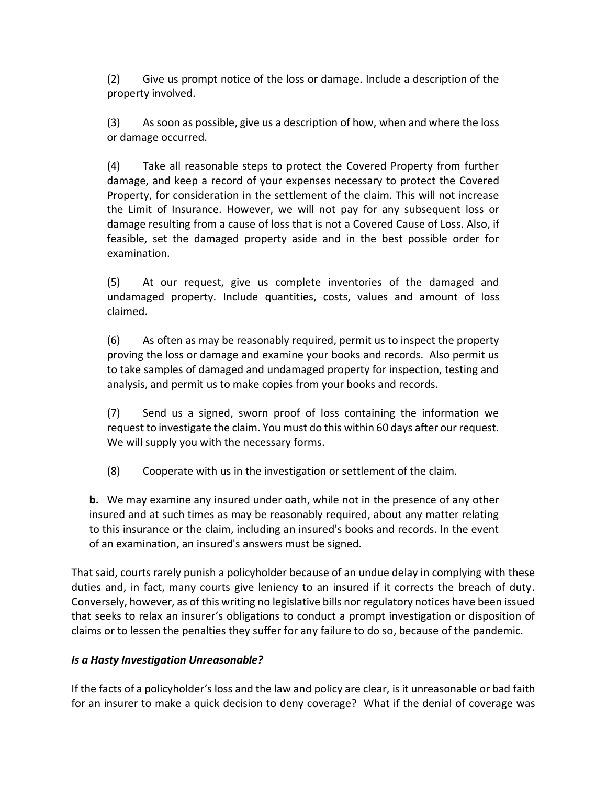(2) Give us prompt notice of the loss or damage. Include a description of the property involved.

(3) As soon as possible, give us a description of how, when and where the loss or damage occurred.

(4) Take all reasonable steps to protect the Covered Property from further damage, and keep a record of your expenses necessary to protect the Covered Property, for consideration in the settlement of the claim. This will not increase the Limit of Insurance. However, we will not pay for any subsequent loss or damage resulting from a cause of loss that is not a Covered Cause of Loss. Also, if feasible, set the damaged property aside and in the best possible order for examination.

(5) At our request, give us complete inventories of the damaged and undamaged property. Include quantities, costs, values and amount of loss claimed.

(6) As often as may be reasonably required, permit us to inspect the property proving the loss or damage and examine your books and records. Also permit us to take samples of damaged and undamaged property for inspection, testing and analysis, and permit us to make copies from your books and records.

(7) Send us a signed, sworn proof of loss containing the information we request to investigate the claim. You must do this within 60 days after our request. We will supply you with the necessary forms.

(8) Cooperate with us in the investigation or settlement of the claim.

**b.** We may examine any insured under oath, while not in the presence of any other insured and at such times as may be reasonably required, about any matter relating to this insurance or the claim, including an insured's books and records. In the event of an examination, an insured's answers must be signed.

That said, courts rarely punish a policyholder because of an undue delay in complying with these duties and, in fact, many courts give leniency to an insured if it corrects the breach of duty. Conversely, however, as of this writing no legislative bills nor regulatory notices have been issued that seeks to relax an insurer's obligations to conduct a prompt investigation or disposition of claims or to lessen the penalties they suffer for any failure to do so, because of the pandemic.

# *Is a Hasty Investigation Unreasonable?*

If the facts of a policyholder's loss and the law and policy are clear, is it unreasonable or bad faith for an insurer to make a quick decision to deny coverage? What if the denial of coverage was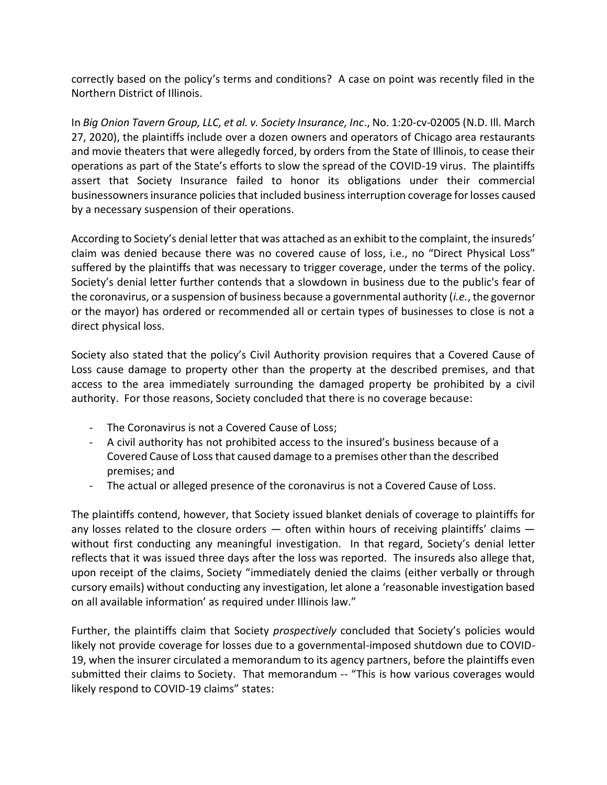correctly based on the policy's terms and conditions? A case on point was recently filed in the Northern District of Illinois.

In *Big Onion Tavern Group, LLC, et al. v. Society Insurance, Inc*., No. 1:20-cv-02005 (N.D. Ill. March 27, 2020), the plaintiffs include over a dozen owners and operators of Chicago area restaurants and movie theaters that were allegedly forced, by orders from the State of Illinois, to cease their operations as part of the State's efforts to slow the spread of the COVID-19 virus. The plaintiffs assert that Society Insurance failed to honor its obligations under their commercial businessowners insurance policies that included business interruption coverage for losses caused by a necessary suspension of their operations.

According to Society's denial letter that was attached as an exhibit to the complaint, the insureds' claim was denied because there was no covered cause of loss, i.e., no "Direct Physical Loss" suffered by the plaintiffs that was necessary to trigger coverage, under the terms of the policy. Society's denial letter further contends that a slowdown in business due to the public's fear of the coronavirus, or a suspension of business because a governmental authority (*i.e.*, the governor or the mayor) has ordered or recommended all or certain types of businesses to close is not a direct physical loss.

Society also stated that the policy's Civil Authority provision requires that a Covered Cause of Loss cause damage to property other than the property at the described premises, and that access to the area immediately surrounding the damaged property be prohibited by a civil authority. For those reasons, Society concluded that there is no coverage because:

- The Coronavirus is not a Covered Cause of Loss;
- A civil authority has not prohibited access to the insured's business because of a Covered Cause of Loss that caused damage to a premises other than the described premises; and
- The actual or alleged presence of the coronavirus is not a Covered Cause of Loss.

The plaintiffs contend, however, that Society issued blanket denials of coverage to plaintiffs for any losses related to the closure orders  $-$  often within hours of receiving plaintiffs' claims  $$ without first conducting any meaningful investigation. In that regard, Society's denial letter reflects that it was issued three days after the loss was reported. The insureds also allege that, upon receipt of the claims, Society "immediately denied the claims (either verbally or through cursory emails) without conducting any investigation, let alone a 'reasonable investigation based on all available information' as required under Illinois law."

Further, the plaintiffs claim that Society *prospectively* concluded that Society's policies would likely not provide coverage for losses due to a governmental-imposed shutdown due to COVID-19, when the insurer circulated a memorandum to its agency partners, before the plaintiffs even submitted their claims to Society. That memorandum -- "This is how various coverages would likely respond to COVID-19 claims" states: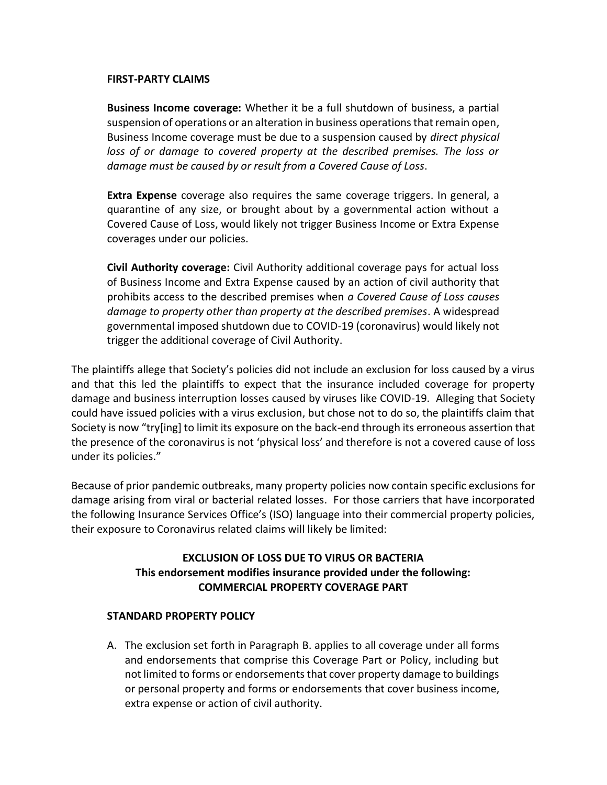#### **FIRST-PARTY CLAIMS**

**Business Income coverage:** Whether it be a full shutdown of business, a partial suspension of operations or an alteration in business operations that remain open, Business Income coverage must be due to a suspension caused by *direct physical*  loss of or damage to covered property at the described premises. The loss or *damage must be caused by or result from a Covered Cause of Loss*.

**Extra Expense** coverage also requires the same coverage triggers. In general, a quarantine of any size, or brought about by a governmental action without a Covered Cause of Loss, would likely not trigger Business Income or Extra Expense coverages under our policies.

**Civil Authority coverage:** Civil Authority additional coverage pays for actual loss of Business Income and Extra Expense caused by an action of civil authority that prohibits access to the described premises when *a Covered Cause of Loss causes damage to property other than property at the described premises*. A widespread governmental imposed shutdown due to COVID-19 (coronavirus) would likely not trigger the additional coverage of Civil Authority.

The plaintiffs allege that Society's policies did not include an exclusion for loss caused by a virus and that this led the plaintiffs to expect that the insurance included coverage for property damage and business interruption losses caused by viruses like COVID-19. Alleging that Society could have issued policies with a virus exclusion, but chose not to do so, the plaintiffs claim that Society is now "try[ing] to limit its exposure on the back-end through its erroneous assertion that the presence of the coronavirus is not 'physical loss' and therefore is not a covered cause of loss under its policies."

Because of prior pandemic outbreaks, many property policies now contain specific exclusions for damage arising from viral or bacterial related losses. For those carriers that have incorporated the following Insurance Services Office's (ISO) language into their commercial property policies, their exposure to Coronavirus related claims will likely be limited:

# **EXCLUSION OF LOSS DUE TO VIRUS OR BACTERIA This endorsement modifies insurance provided under the following: COMMERCIAL PROPERTY COVERAGE PART**

## **STANDARD PROPERTY POLICY**

A. The exclusion set forth in Paragraph B. applies to all coverage under all forms and endorsements that comprise this Coverage Part or Policy, including but not limited to forms or endorsements that cover property damage to buildings or personal property and forms or endorsements that cover business income, extra expense or action of civil authority.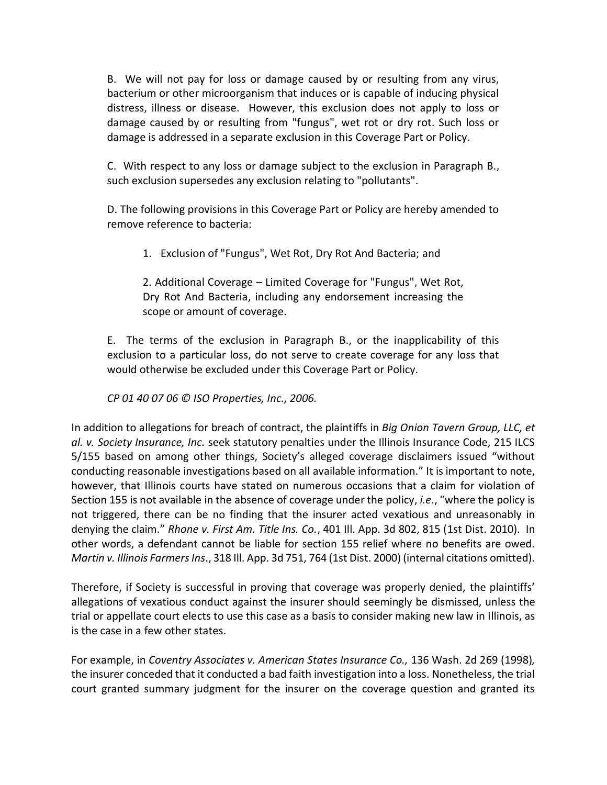B. We will not pay for loss or damage caused by or resulting from any virus, bacterium or other microorganism that induces or is capable of inducing physical distress, illness or disease. However, this exclusion does not apply to loss or damage caused by or resulting from "fungus", wet rot or dry rot. Such loss or damage is addressed in a separate exclusion in this Coverage Part or Policy.

C. With respect to any loss or damage subject to the exclusion in Paragraph B., such exclusion supersedes any exclusion relating to "pollutants".

D. The following provisions in this Coverage Part or Policy are hereby amended to remove reference to bacteria:

1. Exclusion of "Fungus", Wet Rot, Dry Rot And Bacteria; and

2. Additional Coverage – Limited Coverage for "Fungus", Wet Rot, Dry Rot And Bacteria, including any endorsement increasing the scope or amount of coverage.

E. The terms of the exclusion in Paragraph B., or the inapplicability of this exclusion to a particular loss, do not serve to create coverage for any loss that would otherwise be excluded under this Coverage Part or Policy.

*CP 01 40 07 06 © ISO Properties, Inc., 2006.*

In addition to allegations for breach of contract, the plaintiffs in *Big Onion Tavern Group, LLC, et al. v. Society Insurance, Inc.* seek statutory penalties under the Illinois Insurance Code, 215 ILCS 5/155 based on among other things, Society's alleged coverage disclaimers issued "without conducting reasonable investigations based on all available information." It is important to note, however, that Illinois courts have stated on numerous occasions that a claim for violation of Section 155 is not available in the absence of coverage under the policy, *i.e.*, "where the policy is not triggered, there can be no finding that the insurer acted vexatious and unreasonably in denying the claim." *Rhone v. First Am. Title Ins. Co.*, 401 Ill. App. 3d 802, 815 (1st Dist. 2010). In other words, a defendant cannot be liable for section 155 relief where no benefits are owed. *Martin v. Illinois Farmers Ins*., 318 Ill. App. 3d 751, 764 (1st Dist. 2000) (internal citations omitted).

Therefore, if Society is successful in proving that coverage was properly denied, the plaintiffs' allegations of vexatious conduct against the insurer should seemingly be dismissed, unless the trial or appellate court elects to use this case as a basis to consider making new law in Illinois, as is the case in a few other states.

For example, in *Coventry Associates v. American States Insurance Co.,* 136 Wash. 2d 269 (1998)*,* the insurer conceded that it conducted a bad faith investigation into a loss. Nonetheless, the trial court granted summary judgment for the insurer on the coverage question and granted its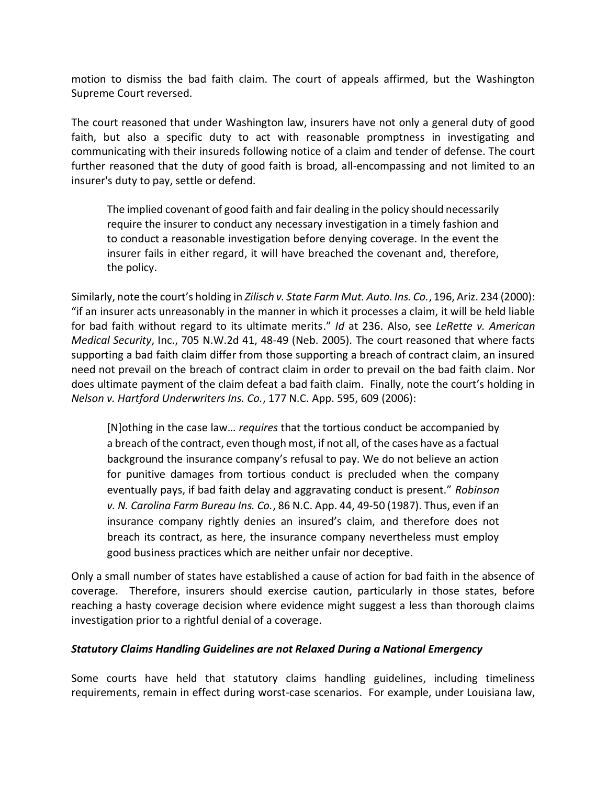motion to dismiss the bad faith claim. The court of appeals affirmed, but the Washington Supreme Court reversed.

The court reasoned that under Washington law, insurers have not only a general duty of good faith, but also a specific duty to act with reasonable promptness in investigating and communicating with their insureds following notice of a claim and tender of defense. The court further reasoned that the duty of good faith is broad, all-encompassing and not limited to an insurer's duty to pay, settle or defend.

The implied covenant of good faith and fair dealing in the policy should necessarily require the insurer to conduct any necessary investigation in a timely fashion and to conduct a reasonable investigation before denying coverage. In the event the insurer fails in either regard, it will have breached the covenant and, therefore, the policy.

Similarly, note the court's holding in *Zilisch v. State Farm Mut. Auto. Ins. Co.*, 196, Ariz. 234 (2000): "if an insurer acts unreasonably in the manner in which it processes a claim, it will be held liable for bad faith without regard to its ultimate merits." *Id* at 236. Also, see *LeRette v. American Medical Security*, Inc., 705 N.W.2d 41, 48-49 (Neb. 2005). The court reasoned that where facts supporting a bad faith claim differ from those supporting a breach of contract claim, an insured need not prevail on the breach of contract claim in order to prevail on the bad faith claim. Nor does ultimate payment of the claim defeat a bad faith claim. Finally, note the court's holding in *Nelson v. Hartford Underwriters Ins. Co.*, 177 N.C. App. 595, 609 (2006):

[N]othing in the case law… *requires* that the tortious conduct be accompanied by a breach of the contract, even though most, if not all, of the cases have as a factual background the insurance company's refusal to pay. We do not believe an action for punitive damages from tortious conduct is precluded when the company eventually pays, if bad faith delay and aggravating conduct is present." *Robinson v. N. Carolina Farm Bureau Ins. Co.*, 86 N.C. App. 44, 49-50 (1987). Thus, even if an insurance company rightly denies an insured's claim, and therefore does not breach its contract, as here, the insurance company nevertheless must employ good business practices which are neither unfair nor deceptive.

Only a small number of states have established a cause of action for bad faith in the absence of coverage. Therefore, insurers should exercise caution, particularly in those states, before reaching a hasty coverage decision where evidence might suggest a less than thorough claims investigation prior to a rightful denial of a coverage.

# *Statutory Claims Handling Guidelines are not Relaxed During a National Emergency*

Some courts have held that statutory claims handling guidelines, including timeliness requirements, remain in effect during worst-case scenarios. For example, under Louisiana law,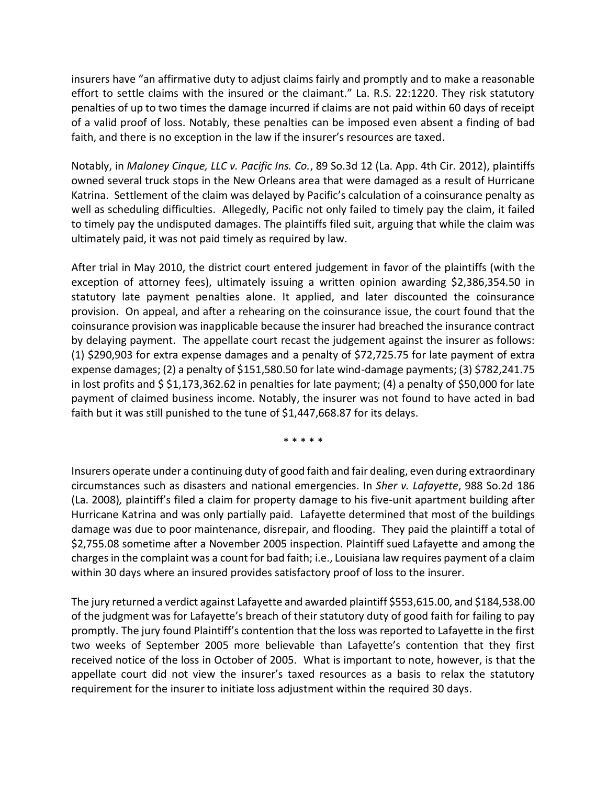insurers have "an affirmative duty to adjust claims fairly and promptly and to make a reasonable effort to settle claims with the insured or the claimant." La. R.S. 22:1220. They risk statutory penalties of up to two times the damage incurred if claims are not paid within 60 days of receipt of a valid proof of loss. Notably, these penalties can be imposed even absent a finding of bad faith, and there is no exception in the law if the insurer's resources are taxed.

Notably, in *Maloney Cinque, LLC v. Pacific Ins. Co.*, 89 So.3d 12 (La. App. 4th Cir. 2012), plaintiffs owned several truck stops in the New Orleans area that were damaged as a result of Hurricane Katrina. Settlement of the claim was delayed by Pacific's calculation of a coinsurance penalty as well as scheduling difficulties. Allegedly, Pacific not only failed to timely pay the claim, it failed to timely pay the undisputed damages. The plaintiffs filed suit, arguing that while the claim was ultimately paid, it was not paid timely as required by law.

After trial in May 2010, the district court entered judgement in favor of the plaintiffs (with the exception of attorney fees), ultimately issuing a written opinion awarding \$2,386,354.50 in statutory late payment penalties alone. It applied, and later discounted the coinsurance provision. On appeal, and after a rehearing on the coinsurance issue, the court found that the coinsurance provision was inapplicable because the insurer had breached the insurance contract by delaying payment. The appellate court recast the judgement against the insurer as follows: (1) \$290,903 for extra expense damages and a penalty of \$72,725.75 for late payment of extra expense damages; (2) a penalty of \$151,580.50 for late wind-damage payments; (3) \$782,241.75 in lost profits and \$ \$1,173,362.62 in penalties for late payment; (4) a penalty of \$50,000 for late payment of claimed business income. Notably, the insurer was not found to have acted in bad faith but it was still punished to the tune of \$1,447,668.87 for its delays.

\* \* \* \* \*

Insurers operate under a continuing duty of good faith and fair dealing, even during extraordinary circumstances such as disasters and national emergencies. In *Sher v. Lafayette*, 988 So.2d 186 (La. 2008)*,* plaintiff's filed a claim for property damage to his five-unit apartment building after Hurricane Katrina and was only partially paid. Lafayette determined that most of the buildings damage was due to poor maintenance, disrepair, and flooding. They paid the plaintiff a total of \$2,755.08 sometime after a November 2005 inspection. Plaintiff sued Lafayette and among the charges in the complaint was a count for bad faith; i.e., Louisiana law requires payment of a claim within 30 days where an insured provides satisfactory proof of loss to the insurer.

The jury returned a verdict against Lafayette and awarded plaintiff \$553,615.00, and \$184,538.00 of the judgment was for Lafayette's breach of their statutory duty of good faith for failing to pay promptly. The jury found Plaintiff's contention that the loss was reported to Lafayette in the first two weeks of September 2005 more believable than Lafayette's contention that they first received notice of the loss in October of 2005. What is important to note, however, is that the appellate court did not view the insurer's taxed resources as a basis to relax the statutory requirement for the insurer to initiate loss adjustment within the required 30 days.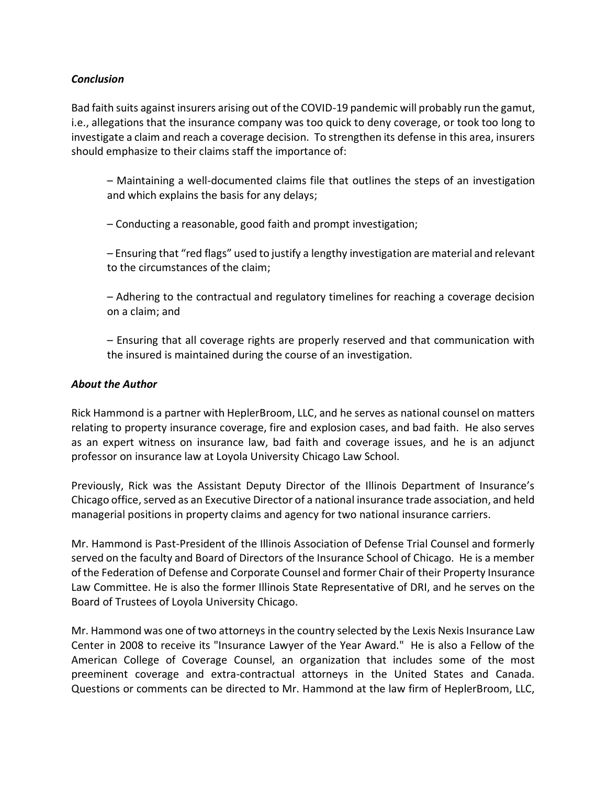## *Conclusion*

Bad faith suits against insurers arising out of the COVID-19 pandemic will probably run the gamut, i.e., allegations that the insurance company was too quick to deny coverage, or took too long to investigate a claim and reach a coverage decision. To strengthen its defense in this area, insurers should emphasize to their claims staff the importance of:

– Maintaining a well-documented claims file that outlines the steps of an investigation and which explains the basis for any delays;

– Conducting a reasonable, good faith and prompt investigation;

– Ensuring that "red flags" used to justify a lengthy investigation are material and relevant to the circumstances of the claim;

– Adhering to the contractual and regulatory timelines for reaching a coverage decision on a claim; and

– Ensuring that all coverage rights are properly reserved and that communication with the insured is maintained during the course of an investigation.

## *About the Author*

Rick Hammond is a partner with HeplerBroom, LLC, and he serves as national counsel on matters relating to property insurance coverage, fire and explosion cases, and bad faith. He also serves as an expert witness on insurance law, bad faith and coverage issues, and he is an adjunct professor on insurance law at Loyola University Chicago Law School.

Previously, Rick was the Assistant Deputy Director of the Illinois Department of Insurance's Chicago office, served as an Executive Director of a national insurance trade association, and held managerial positions in property claims and agency for two national insurance carriers.

Mr. Hammond is Past-President of the Illinois Association of Defense Trial Counsel and formerly served on the faculty and Board of Directors of the Insurance School of Chicago. He is a member of the Federation of Defense and Corporate Counsel and former Chair of their Property Insurance Law Committee. He is also the former Illinois State Representative of DRI, and he serves on the Board of Trustees of Loyola University Chicago.

Mr. Hammond was one of two attorneys in the country selected by the Lexis Nexis Insurance Law Center in 2008 to receive its "Insurance Lawyer of the Year Award." He is also a Fellow of the American College of Coverage Counsel, an organization that includes some of the most preeminent coverage and extra-contractual attorneys in the United States and Canada. Questions or comments can be directed to Mr. Hammond at the law firm of HeplerBroom, LLC,